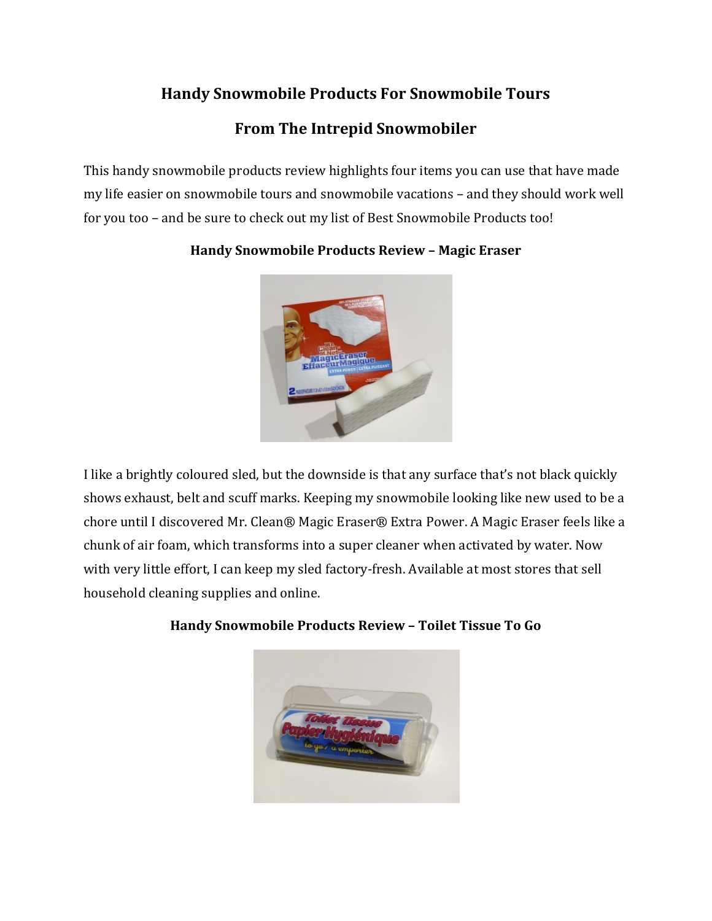## Handy Snowmobile Products For Snowmobile Tours

## From The Intrepid Snowmobiler

This handy snowmobile products review highlights four items you can use that have made my life easier on snowmobile tours and snowmobile vacations – and they should work well for you too – and be sure to check out my list of Best Snowmobile Products too!



## Handy Snowmobile Products Review – Magic Eraser

I like a brightly coloured sled, but the downside is that any surface that's not black quickly shows exhaust, belt and scuff marks. Keeping my snowmobile looking like new used to be a chore until I discovered Mr. Clean® Magic Eraser® Extra Power. A Magic Eraser feels like a chunk of air foam, which transforms into a super cleaner when activated by water. Now with very little effort, I can keep my sled factory-fresh. Available at most stores that sell household cleaning supplies and online.

Handy Snowmobile Products Review – Toilet Tissue To Go

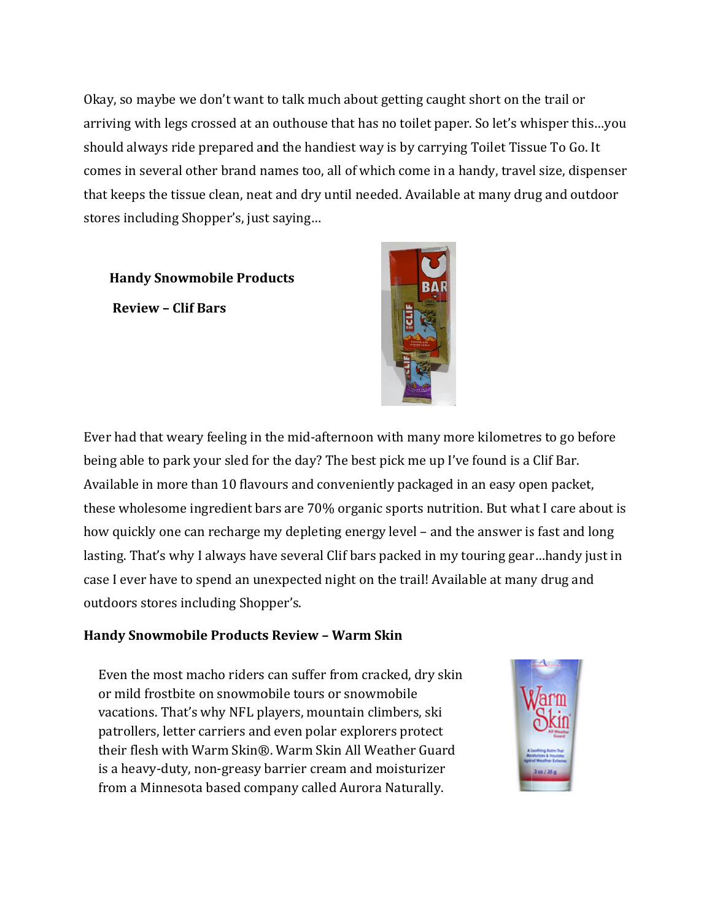Okay, so maybe we don't want to talk much about getting caught short on the trail or arriving with legs crossed at an outhouse that has no toilet paper. So let's whisper this…you arriving with legs crossed at an outhouse that has no toilet paper. So let's whis<br>should always ride prepared and the handiest way is by carrying Toilet Tissue comes in several other brand names too, all of which come in a handy, travel size, dispenser comes in several other brand names too, all of which come in a handy, travel size, dispense<br>that keeps the tissue clean, neat and dry until needed. Available at many drug and outdoor stores including Shopper's, just saying…

Handy Snowmobile Products Review – Clif Bars just saying…<br>roducts<br>with the conducts of the conducts of the conducts of the conducts of the conducts of the conduct of the conduct of the conduct of the conduct of the conduct of the conduct of the conduct of the conduct



Ever had that weary feeling in the mid-afternoon with many more kilometres to go before being able to park your sled for the day? The best pick me up I've found is a Clif Bar. Available in more than 10 flavours and conveniently packaged in an easy open packet, these wholesome ingredient bars are 70% organic sports nutrition. But what I care about is how quickly one can recharge my depleting energy level – and the answer is fast and long lasting. That's why I always have several Clif bars packed in my touring gear…handy just in case I ever have to spend an unexpected night on the trail! Available at many drug and outdoors stores including Shopper's. r sled for the day? The best pick me up I've found is a Clif Bar.<br>1 10 flavours and conveniently packaged in an easy open packet,<br>edient bars are 70% organic sports nutrition. But what I care about<br>echarge my depleting ene lasting. That's why I always have several Clif bars packed in my touring gear…handy<br>case I ever have to spend an unexpected night on the trail! Available at many drug an<br>outdoors stores including Shopper's. ould always ride prepared and the handiest way is by carrying Toilet Tissue To Go. It<br>alter the breast in several other brand names too, all of which come in a handy, travel size, disper<br>the the pest the tissue clean, neat edient

## Handy Snowmobile Products Review – Warm Skin

Even the most macho riders can suffer from cracked, dry skin<br>or mild frostbite on snowmobile tours or snowmobile or mild frostbite on snowmobile tours or snowmobile vacations. That's why NFL players, mountain climbers, ski patrollers, letter carriers and even polar explorers protect their flesh with Warm Skin®. Warm Skin All Weather Guard is a heavy-duty, non-greasy barrier cream and moisturizer from a Minnesota based company called Aurora Naturally.